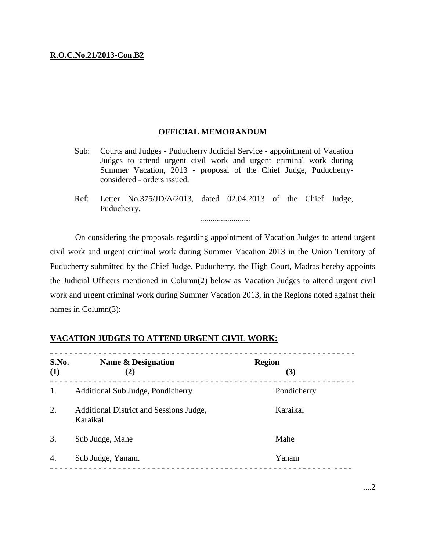## **R.O.C.No.21/2013-Con.B2**

## **OFFICIAL MEMORANDUM**

- Sub: Courts and Judges Puducherry Judicial Service appointment of Vacation Judges to attend urgent civil work and urgent criminal work during Summer Vacation, 2013 - proposal of the Chief Judge, Puducherryconsidered - orders issued.
- Ref: Letter No.375/JD/A/2013, dated 02.04.2013 of the Chief Judge, Puducherry.

........................

On considering the proposals regarding appointment of Vacation Judges to attend urgent civil work and urgent criminal work during Summer Vacation 2013 in the Union Territory of Puducherry submitted by the Chief Judge, Puducherry, the High Court, Madras hereby appoints the Judicial Officers mentioned in Column(2) below as Vacation Judges to attend urgent civil work and urgent criminal work during Summer Vacation 2013, in the Regions noted against their names in Column(3):

| S.No.<br>(1) | Name & Designation<br>(2)                           | <b>Region</b><br>(3) |
|--------------|-----------------------------------------------------|----------------------|
| 1.           | Additional Sub Judge, Pondicherry                   | Pondicherry          |
| 2.           | Additional District and Sessions Judge,<br>Karaikal | Karaikal             |
| 3.           | Sub Judge, Mahe                                     | Mahe                 |
| 4.           | Sub Judge, Yanam.                                   | Yanam                |

## **VACATION JUDGES TO ATTEND URGENT CIVIL WORK:**